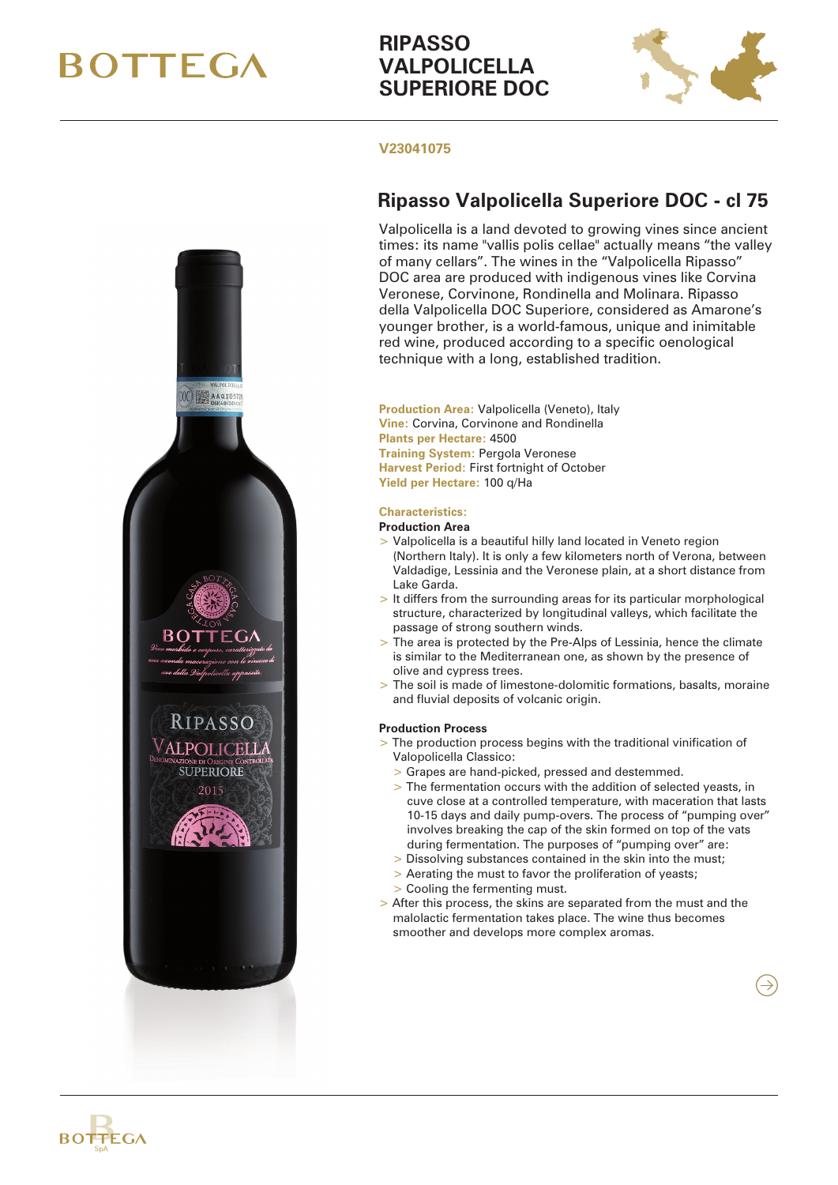# **BOTTEGA**

## **RIPASSO VALPOLICELLA SUPERIORE DOC**



### **V23041075**

## **Ripasso Valpolicella Superiore DOC - cl 75**

Valpolicella is a land devoted to growing vines since ancient times: its name "vallis polis cellae" actually means "the valley of many cellars". The wines in the "Valpolicella Ripasso" DOC area are produced with indigenous vines like Corvina Veronese, Corvinone, Rondinella and Molinara. Ripasso della Valpolicella DOC Superiore, considered as Amarone's younger brother, is a world-famous, unique and inimitable red wine, produced according to a specific oenological technique with a long, established tradition.

**Production Area:** Valpolicella (Veneto), Italy **Vine:** Corvina, Corvinone and Rondinella **Plants per Hectare:** 4500 **Training System:** Pergola Veronese **Harvest Period:** First fortnight of October **Yield per Hectare:** 100 q/Ha

### **Characteristics:**

### **Production Area**

- > Valpolicella is a beautiful hilly land located in Veneto region (Northern Italy). It is only a few kilometers north of Verona, between Valdadige, Lessinia and the Veronese plain, at a short distance from Lake Garda.
- > It differs from the surrounding areas for its particular morphological structure, characterized by longitudinal valleys, which facilitate the passage of strong southern winds.
- > The area is protected by the Pre-Alps of Lessinia, hence the climate is similar to the Mediterranean one, as shown by the presence of olive and cypress trees.
- > The soil is made of limestone-dolomitic formations, basalts, moraine and fluvial deposits of volcanic origin.

### **Production Process**

- > The production process begins with the traditional vinification of Valopolicella Classico:
	- > Grapes are hand-picked, pressed and destemmed.
	- > The fermentation occurs with the addition of selected yeasts, in cuve close at a controlled temperature, with maceration that lasts 10-15 days and daily pump-overs. The process of "pumping over" involves breaking the cap of the skin formed on top of the vats during fermentation. The purposes of "pumping over" are:
	- > Dissolving substances contained in the skin into the must;
	- > Aerating the must to favor the proliferation of yeasts;
	- > Cooling the fermenting must.
- > After this process, the skins are separated from the must and the malolactic fermentation takes place. The wine thus becomes smoother and develops more complex aromas.

 $\rightarrow$